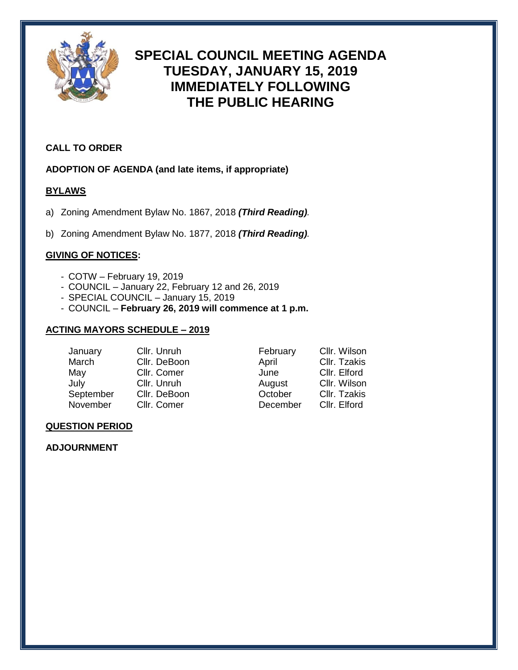

# **SPECIAL COUNCIL MEETING AGENDA TUESDAY, JANUARY 15, 2019 IMMEDIATELY FOLLOWING THE PUBLIC HEARING**

## **CALL TO ORDER**

## **ADOPTION OF AGENDA (and late items, if appropriate)**

## **BYLAWS**

- a) Zoning Amendment Bylaw No. 1867, 2018 *(Third Reading).*
- b) Zoning Amendment Bylaw No. 1877, 2018 *(Third Reading).*

## **GIVING OF NOTICES:**

- COTW February 19, 2019
- COUNCIL January 22, February 12 and 26, 2019
- SPECIAL COUNCIL January 15, 2019
- COUNCIL **February 26, 2019 will commence at 1 p.m.**

#### **ACTING MAYORS SCHEDULE – 2019**

| January   | Cllr. Unruh  | February | Cllr. Wilson |
|-----------|--------------|----------|--------------|
| March     | Cllr. DeBoon | April    | Cllr. Tzakis |
| May       | Cllr. Comer  | June     | Cllr. Elford |
| July      | Cllr. Unruh  | August   | Cllr. Wilson |
| September | Cllr. DeBoon | October  | Cllr. Tzakis |
| November  | Cllr. Comer  | December | Cllr. Elford |

#### **QUESTION PERIOD**

## **ADJOURNMENT**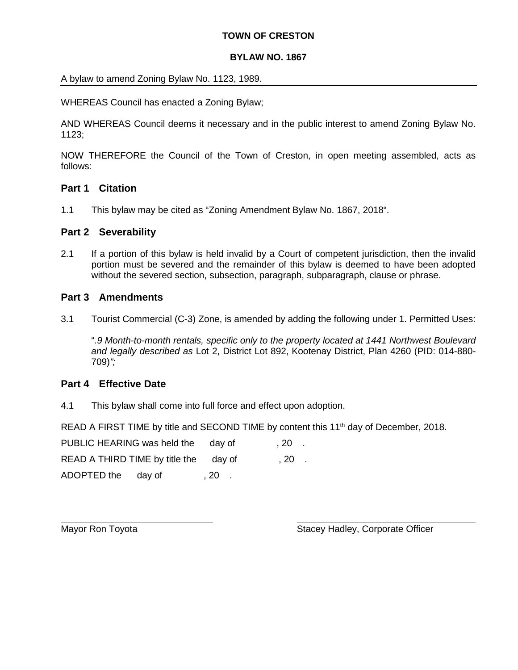#### **TOWN OF CRESTON**

#### **BYLAW NO. 1867**

A bylaw to amend Zoning Bylaw No. 1123, 1989.

WHEREAS Council has enacted a Zoning Bylaw;

AND WHEREAS Council deems it necessary and in the public interest to amend Zoning Bylaw No. 1123;

NOW THEREFORE the Council of the Town of Creston, in open meeting assembled, acts as follows:

#### **Part 1 Citation**

1.1 This bylaw may be cited as "Zoning Amendment Bylaw No. 1867, 2018".

#### **Part 2 Severability**

2.1 If a portion of this bylaw is held invalid by a Court of competent jurisdiction, then the invalid portion must be severed and the remainder of this bylaw is deemed to have been adopted without the severed section, subsection, paragraph, subparagraph, clause or phrase.

#### **Part 3 Amendments**

3.1 Tourist Commercial (C-3) Zone, is amended by adding the following under 1. Permitted Uses:

"*.9 Month-to-month rentals, specific only to the property located at 1441 Northwest Boulevard and legally described as* Lot 2, District Lot 892, Kootenay District, Plan 4260 (PID: 014-880- 709)*";*

#### **Part 4 Effective Date**

4.1 This bylaw shall come into full force and effect upon adoption.

READ A FIRST TIME by title and SECOND TIME by content this 11<sup>th</sup> day of December, 2018.

| PUBLIC HEARING was held the           | dav of | . 20  |     |  |
|---------------------------------------|--------|-------|-----|--|
| READ A THIRD TIME by title the day of |        |       | ,20 |  |
| ADOPTED the                           | dav of | . 20. |     |  |

Mayor Ron Toyota **Stacey Hadley, Corporate Officer** Stacey Hadley, Corporate Officer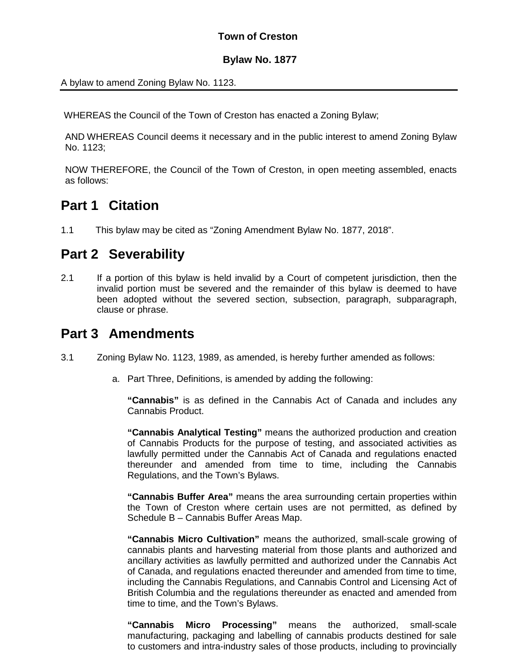# **Town of Creston**

#### **Bylaw No. 1877**

A bylaw to amend Zoning Bylaw No. 1123.

WHEREAS the Council of the Town of Creston has enacted a Zoning Bylaw;

AND WHEREAS Council deems it necessary and in the public interest to amend Zoning Bylaw No. 1123;

NOW THEREFORE, the Council of the Town of Creston, in open meeting assembled, enacts as follows:

# **Part 1 Citation**

1.1 This bylaw may be cited as "Zoning Amendment Bylaw No. 1877, 2018".

# **Part 2 Severability**

2.1 If a portion of this bylaw is held invalid by a Court of competent jurisdiction, then the invalid portion must be severed and the remainder of this bylaw is deemed to have been adopted without the severed section, subsection, paragraph, subparagraph, clause or phrase.

# **Part 3 Amendments**

- 3.1 Zoning Bylaw No. 1123, 1989, as amended, is hereby further amended as follows:
	- a. Part Three, Definitions, is amended by adding the following:

**"Cannabis"** is as defined in the Cannabis Act of Canada and includes any Cannabis Product.

**"Cannabis Analytical Testing"** means the authorized production and creation of Cannabis Products for the purpose of testing, and associated activities as lawfully permitted under the Cannabis Act of Canada and regulations enacted thereunder and amended from time to time, including the Cannabis Regulations, and the Town's Bylaws.

**"Cannabis Buffer Area"** means the area surrounding certain properties within the Town of Creston where certain uses are not permitted, as defined by Schedule B – Cannabis Buffer Areas Map.

**"Cannabis Micro Cultivation"** means the authorized, small-scale growing of cannabis plants and harvesting material from those plants and authorized and ancillary activities as lawfully permitted and authorized under the Cannabis Act of Canada, and regulations enacted thereunder and amended from time to time, including the Cannabis Regulations, and Cannabis Control and Licensing Act of British Columbia and the regulations thereunder as enacted and amended from time to time, and the Town's Bylaws.

**"Cannabis Micro Processing"** means the authorized, small-scale manufacturing, packaging and labelling of cannabis products destined for sale to customers and intra-industry sales of those products, including to provincially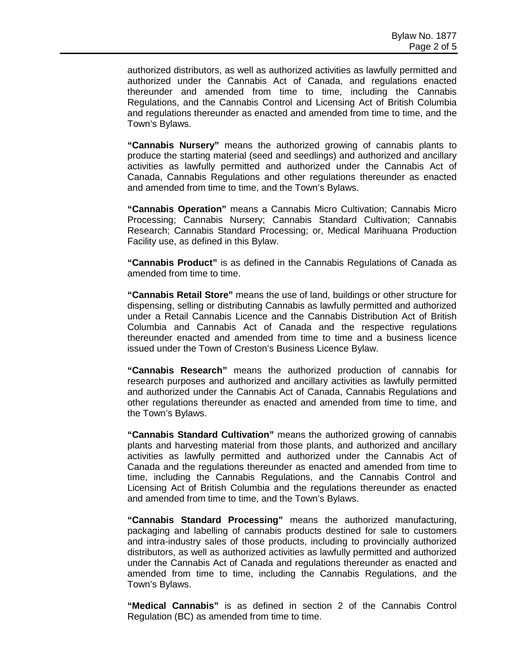authorized distributors, as well as authorized activities as lawfully permitted and authorized under the Cannabis Act of Canada, and regulations enacted thereunder and amended from time to time, including the Cannabis Regulations, and the Cannabis Control and Licensing Act of British Columbia and regulations thereunder as enacted and amended from time to time, and the Town's Bylaws.

**"Cannabis Nursery"** means the authorized growing of cannabis plants to produce the starting material (seed and seedlings) and authorized and ancillary activities as lawfully permitted and authorized under the Cannabis Act of Canada, Cannabis Regulations and other regulations thereunder as enacted and amended from time to time, and the Town's Bylaws.

**"Cannabis Operation"** means a Cannabis Micro Cultivation; Cannabis Micro Processing; Cannabis Nursery; Cannabis Standard Cultivation; Cannabis Research; Cannabis Standard Processing; or, Medical Marihuana Production Facility use, as defined in this Bylaw.

**"Cannabis Product"** is as defined in the Cannabis Regulations of Canada as amended from time to time.

**"Cannabis Retail Store"** means the use of land, buildings or other structure for dispensing, selling or distributing Cannabis as lawfully permitted and authorized under a Retail Cannabis Licence and the Cannabis Distribution Act of British Columbia and Cannabis Act of Canada and the respective regulations thereunder enacted and amended from time to time and a business licence issued under the Town of Creston's Business Licence Bylaw.

**"Cannabis Research"** means the authorized production of cannabis for research purposes and authorized and ancillary activities as lawfully permitted and authorized under the Cannabis Act of Canada, Cannabis Regulations and other regulations thereunder as enacted and amended from time to time, and the Town's Bylaws.

**"Cannabis Standard Cultivation"** means the authorized growing of cannabis plants and harvesting material from those plants, and authorized and ancillary activities as lawfully permitted and authorized under the Cannabis Act of Canada and the regulations thereunder as enacted and amended from time to time, including the Cannabis Regulations, and the Cannabis Control and Licensing Act of British Columbia and the regulations thereunder as enacted and amended from time to time, and the Town's Bylaws.

**"Cannabis Standard Processing"** means the authorized manufacturing, packaging and labelling of cannabis products destined for sale to customers and intra-industry sales of those products, including to provincially authorized distributors, as well as authorized activities as lawfully permitted and authorized under the Cannabis Act of Canada and regulations thereunder as enacted and amended from time to time, including the Cannabis Regulations, and the Town's Bylaws.

**"Medical Cannabis"** is as defined in section 2 of the Cannabis Control Regulation (BC) as amended from time to time.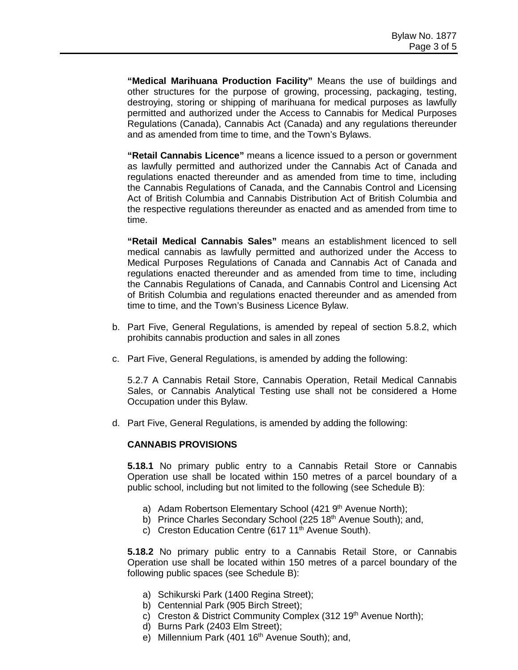**"Medical Marihuana Production Facility"** Means the use of buildings and other structures for the purpose of growing, processing, packaging, testing, destroying, storing or shipping of marihuana for medical purposes as lawfully permitted and authorized under the Access to Cannabis for Medical Purposes Regulations (Canada), Cannabis Act (Canada) and any regulations thereunder and as amended from time to time, and the Town's Bylaws.

**"Retail Cannabis Licence"** means a licence issued to a person or government as lawfully permitted and authorized under the Cannabis Act of Canada and regulations enacted thereunder and as amended from time to time, including the Cannabis Regulations of Canada, and the Cannabis Control and Licensing Act of British Columbia and Cannabis Distribution Act of British Columbia and the respective regulations thereunder as enacted and as amended from time to time.

**"Retail Medical Cannabis Sales"** means an establishment licenced to sell medical cannabis as lawfully permitted and authorized under the Access to Medical Purposes Regulations of Canada and Cannabis Act of Canada and regulations enacted thereunder and as amended from time to time, including the Cannabis Regulations of Canada, and Cannabis Control and Licensing Act of British Columbia and regulations enacted thereunder and as amended from time to time, and the Town's Business Licence Bylaw.

- b. Part Five, General Regulations, is amended by repeal of section 5.8.2, which prohibits cannabis production and sales in all zones
- c. Part Five, General Regulations, is amended by adding the following:

5.2.7 A Cannabis Retail Store, Cannabis Operation, Retail Medical Cannabis Sales, or Cannabis Analytical Testing use shall not be considered a Home Occupation under this Bylaw.

d. Part Five, General Regulations, is amended by adding the following:

#### **CANNABIS PROVISIONS**

**5.18.1** No primary public entry to a Cannabis Retail Store or Cannabis Operation use shall be located within 150 metres of a parcel boundary of a public school, including but not limited to the following (see Schedule B):

- a) Adam Robertson Elementary School (421 9<sup>th</sup> Avenue North);
- b) Prince Charles Secondary School (225 18<sup>th</sup> Avenue South); and,
- c) Creston Education Centre (617 11<sup>th</sup> Avenue South).

**5.18.2** No primary public entry to a Cannabis Retail Store, or Cannabis Operation use shall be located within 150 metres of a parcel boundary of the following public spaces (see Schedule B):

- a) Schikurski Park (1400 Regina Street);
- b) Centennial Park (905 Birch Street);
- c) Creston & District Community Complex (312 19<sup>th</sup> Avenue North);
- d) Burns Park (2403 Elm Street);
- e) Millennium Park (401 16<sup>th</sup> Avenue South); and,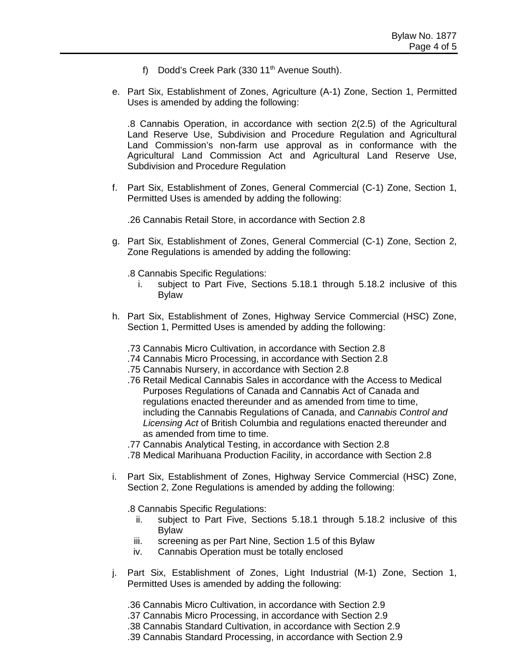- f) Dodd's Creek Park (330 11<sup>th</sup> Avenue South).
- e. Part Six, Establishment of Zones, Agriculture (A-1) Zone, Section 1, Permitted Uses is amended by adding the following:

.8 Cannabis Operation, in accordance with section 2(2.5) of the Agricultural Land Reserve Use, Subdivision and Procedure Regulation and Agricultural Land Commission's non-farm use approval as in conformance with the Agricultural Land Commission Act and Agricultural Land Reserve Use, Subdivision and Procedure Regulation

f. Part Six, Establishment of Zones, General Commercial (C-1) Zone, Section 1, Permitted Uses is amended by adding the following:

.26 Cannabis Retail Store, in accordance with Section 2.8

- g. Part Six, Establishment of Zones, General Commercial (C-1) Zone, Section 2, Zone Regulations is amended by adding the following:
	- .8 Cannabis Specific Regulations:
		- i. subject to Part Five, Sections 5.18.1 through 5.18.2 inclusive of this Bylaw
- h. Part Six, Establishment of Zones, Highway Service Commercial (HSC) Zone, Section 1, Permitted Uses is amended by adding the following:
	- .73 Cannabis Micro Cultivation, in accordance with Section 2.8
	- .74 Cannabis Micro Processing, in accordance with Section 2.8
	- .75 Cannabis Nursery, in accordance with Section 2.8
	- .76 Retail Medical Cannabis Sales in accordance with the Access to Medical Purposes Regulations of Canada and Cannabis Act of Canada and regulations enacted thereunder and as amended from time to time, including the Cannabis Regulations of Canada, and *Cannabis Control and Licensing Act* of British Columbia and regulations enacted thereunder and as amended from time to time.
	- .77 Cannabis Analytical Testing, in accordance with Section 2.8
	- .78 Medical Marihuana Production Facility, in accordance with Section 2.8
- i. Part Six, Establishment of Zones, Highway Service Commercial (HSC) Zone, Section 2, Zone Regulations is amended by adding the following:
	- .8 Cannabis Specific Regulations:
		- ii. subject to Part Five, Sections 5.18.1 through 5.18.2 inclusive of this Bylaw
		- iii. screening as per Part Nine, Section 1.5 of this Bylaw
		- iv. Cannabis Operation must be totally enclosed
- j. Part Six, Establishment of Zones, Light Industrial (M-1) Zone, Section 1, Permitted Uses is amended by adding the following:
	- .36 Cannabis Micro Cultivation, in accordance with Section 2.9
	- .37 Cannabis Micro Processing, in accordance with Section 2.9
	- .38 Cannabis Standard Cultivation, in accordance with Section 2.9
	- .39 Cannabis Standard Processing, in accordance with Section 2.9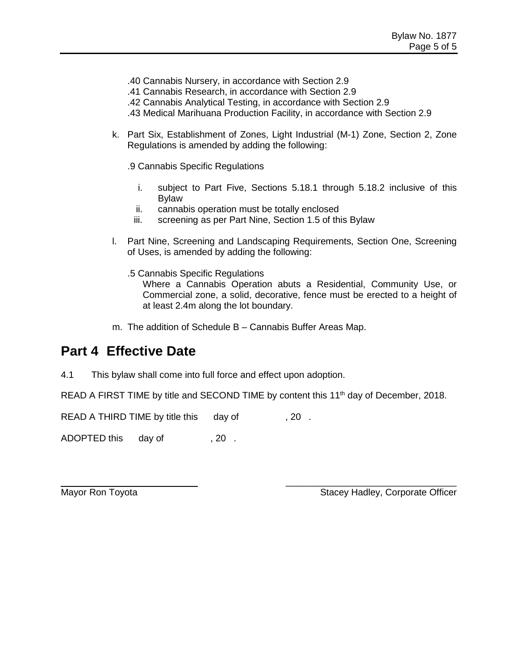- .40 Cannabis Nursery, in accordance with Section 2.9
- .41 Cannabis Research, in accordance with Section 2.9
- .42 Cannabis Analytical Testing, in accordance with Section 2.9
- .43 Medical Marihuana Production Facility, in accordance with Section 2.9
- k. Part Six, Establishment of Zones, Light Industrial (M-1) Zone, Section 2, Zone Regulations is amended by adding the following:
	- .9 Cannabis Specific Regulations
		- i. subject to Part Five, Sections 5.18.1 through 5.18.2 inclusive of this Bylaw
		- ii. cannabis operation must be totally enclosed
		- iii. screening as per Part Nine, Section 1.5 of this Bylaw
- l. Part Nine, Screening and Landscaping Requirements, Section One, Screening of Uses, is amended by adding the following:
	- .5 Cannabis Specific Regulations Where a Cannabis Operation abuts a Residential, Community Use, or Commercial zone, a solid, decorative, fence must be erected to a height of at least 2.4m along the lot boundary.
- m. The addition of Schedule B Cannabis Buffer Areas Map.

# **Part 4 Effective Date**

4.1 This bylaw shall come into full force and effect upon adoption.

READ A FIRST TIME by title and SECOND TIME by content this 11<sup>th</sup> day of December, 2018.

READ A THIRD TIME by title this day of , 20.

ADOPTED this day of , 20.

Mayor Ron Toyota **Stacey Hadley, Corporate Officer** Stacey Hadley, Corporate Officer

\_\_\_\_\_\_\_\_\_\_\_\_\_\_\_\_\_\_\_\_\_\_\_\_\_\_\_\_\_\_\_\_\_